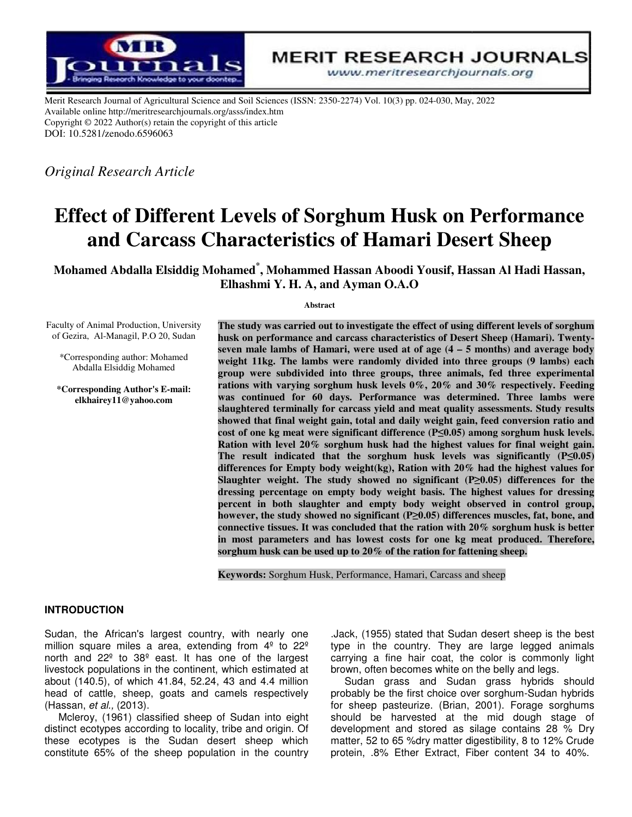

**MERIT RESEARCH JOURNALS** 

www.meritresearchjournals.org

Merit Research Journal of Agricultural Science and Soil Sciences (ISSN: 2350-2274) Vol. 10(3) pp. 024-030, May, 2022 Available online http://meritresearchjournals.org/asss/index.htm Copyright © 2022 Author(s) retain the copyright of this article DOI: 10.5281/zenodo.6596063

*Original Research Article* 

# **Effect of Different Levels of Sorghum Husk on Performance and Carcass Characteristics of Hamari Desert Sheep**

**Mohamed Abdalla Elsiddig Mohamed \* , Mohammed Hassan Aboodi Yousif, Hassan Al Hadi Hassan, Elhashmi Elhashmi Y. H. A, and Ayman O.A.O** 

#### **Abstract**

Faculty of Animal Production, University of Gezira, Al-Managil, P.O 20, Sudan

\*Corresponding author: Mohamed Abdalla Elsiddig Mohamed

**\*Corresponding Author's E-mail: elkhairey11@yahoo.com**

**The study was carried out to investigate the effect of using different levels of sorghum carried different levels sorghum husk on performance and carcass characteristics of Desert characteristics of Desert Sheep (Hamari). Twenty**seven male lambs of Hamari, were used at of age  $(4 - 5 \text{ months})$  and average body weight 11kg. The lambs were randomly divided into three groups (9 lambs) each **group group were subdivided into three groups, three animals, fed three experimental three experimental rations with varying sorghum husk levels 0%, 20% and 30% respectively. Feeding husk levels 20% and respectively. Feeding was continued for 60 days. Performance was determined. Three lambs were were**  slaughtered terminally for carcass yield and meat quality assessments. Study results showed that final weight gain, total and daily weight gain, feed conversion ratio and **cost of one kg meat were significant difference (P≤0.05) among sorghum husk levels. Ration with level 20% sorghum husk had the highest values for final final weight gain.**  Ration with level 20% sorghum husk had the highest values for final weight gain.<br>The result indicated that the sorghum husk levels was significantly (P≤0.05) **differences differences for Empty body weight(kg), Ration with 20% had the high % the highest values for Slaughter weight weight. The study showed no significant (P ≥0.05) differences for the**  dressing percentage on empty body weight basis. The highest values for dressing percent in both slaughter and empty body weight observed in control group, **however, the study showed no significant (P≥0.05) differences muscles, fat, bone, and connective tissues tissues. It was concluded that the ration with 20% sorghum husk is better the with husk better**  in most parameters and has lowest costs for one kg meat produced. Therefore, **sorghum husk can be used up to 20% of the ration for fattening sheep.**

sorghum husk can be used up to 20% of the ration for fattening sh<br>Keywords: Sorghum Husk, Performance, Hamari, Carcass and sheep

## **INTRODUCTION**

Sudan, the African's largest country, with nearly one million square miles a area, extending from  $4^{\circ}$  to  $22^{\circ}$ north and 22º to 38º east. It has one of the largest livestock populations in the continent, which estimated at about (140.5), of which 41.84, 52.24, 43 and 4.4 million head of cattle, sheep, goats and camels respectively (Hassan, et al., (2013). ican's largest country, with nearly one<br>miles a area, extending from  $4^{\circ}$  to  $22^{\circ}$ <br>to  $38^{\circ}$  east. It has one of the largest<br>tions in the continent, which estimated at

Mcleroy, (1961) classified sheep of Sudan into eight distinct ecotypes according to locality, tribe and origin. Of these ecotypes is the Sudan desert sheep which constitute 65% of the sheep population in the country

type in the country. They are large legged animals carrying a fine hair coat, the color is commonly light brown, often becomes white on the belly and legs. Jack, (1955) stated that Sudan desert sheep is the best<br>type in the country. They are large legged animals<br>carrying a fine hair coat, the color is commonly light<br>brown, often becomes white on the belly and legs.<br>Sudan gras

can's largest country, with nearly one ... Jack, (1955) stated that Sudan desert sheep is the best<br>illes a area, extending from  $4^{\circ}$  to  $22^{\circ}$  type in the country. They are large legged animals<br>o  $38^{\circ}$  east. It ha Sudan grass and Sudan grass hybrids should probably be the first choice over sorghum-Sudan hybrids for sheep pasteurize. (Brian, 2001). Forage sorghums should be harvested at the mid dough stage of development and stored as silage contains 28 % Dry matter, 52 to 65 %dry matter digestibility, 8 to 12% Crude development and stored as silage contains 28 % Dry<br>matter, 52 to 65 %dry matter digestibility, 8 to 12% Crude<br>protein, .8% Ether Extract, Fiber content 34 to 40%.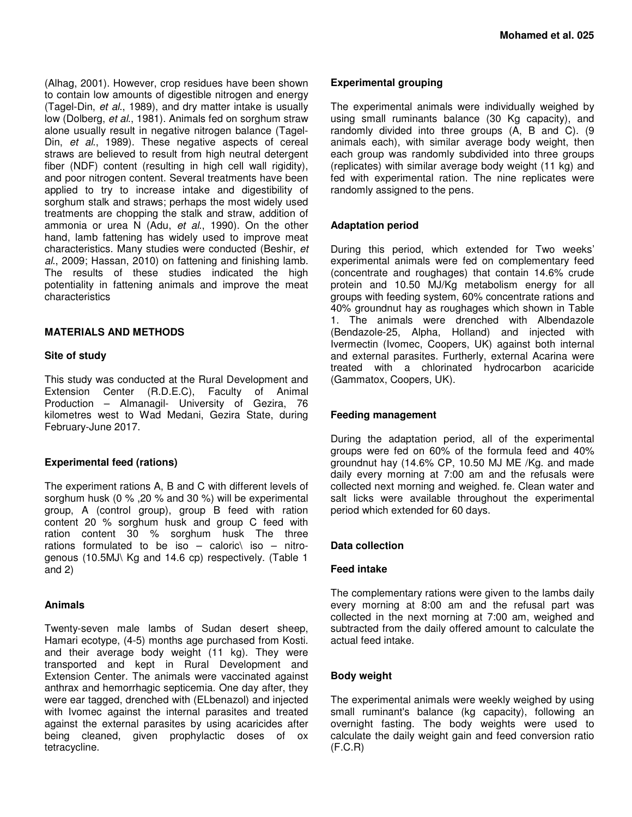(Alhag, 2001). However, crop residues have been shown to contain low amounts of digestible nitrogen and energy (Tagel-Din, et al., 1989), and dry matter intake is usually low (Dolberg, et al., 1981). Animals fed on sorghum straw alone usually result in negative nitrogen balance (Tagel-Din, et al., 1989). These negative aspects of cereal straws are believed to result from high neutral detergent fiber (NDF) content (resulting in high cell wall rigidity), and poor nitrogen content. Several treatments have been applied to try to increase intake and digestibility of sorghum stalk and straws; perhaps the most widely used treatments are chopping the stalk and straw, addition of ammonia or urea N (Adu, et al., 1990). On the other hand, lamb fattening has widely used to improve meat characteristics. Many studies were conducted (Beshir, et al., 2009; Hassan, 2010) on fattening and finishing lamb. The results of these studies indicated the high potentiality in fattening animals and improve the meat characteristics

## **MATERIALS AND METHODS**

## **Site of study**

This study was conducted at the Rural Development and Extension Center (R.D.E.C), Faculty of Animal Production – Almanagil- University of Gezira, 76 kilometres west to Wad Medani, Gezira State, during February-June 2017.

# **Experimental feed (rations)**

The experiment rations A, B and C with different levels of sorghum husk (0 % ,20 % and 30 %) will be experimental group, A (control group), group B feed with ration content 20 % sorghum husk and group C feed with ration content 30 % sorghum husk The three rations formulated to be iso  $-$  caloric\ iso  $-$  nitrogenous (10.5MJ\ Kg and 14.6 cp) respectively. (Table 1 and 2)

## **Animals**

Twenty-seven male lambs of Sudan desert sheep, Hamari ecotype, (4-5) months age purchased from Kosti. and their average body weight (11 kg). They were transported and kept in Rural Development and Extension Center. The animals were vaccinated against anthrax and hemorrhagic septicemia. One day after, they were ear tagged, drenched with (ELbenazol) and injected with Ivomec against the internal parasites and treated against the external parasites by using acaricides after being cleaned, given prophylactic doses of ox tetracycline.

## **Experimental grouping**

The experimental animals were individually weighed by using small ruminants balance (30 Kg capacity), and randomly divided into three groups (A, B and C). (9 animals each), with similar average body weight, then each group was randomly subdivided into three groups (replicates) with similar average body weight (11 kg) and fed with experimental ration. The nine replicates were randomly assigned to the pens.

## **Adaptation period**

During this period, which extended for Two weeks' experimental animals were fed on complementary feed (concentrate and roughages) that contain 14.6% crude protein and 10.50 MJ/Kg metabolism energy for all groups with feeding system, 60% concentrate rations and 40% groundnut hay as roughages which shown in Table 1. The animals were drenched with Albendazole (Bendazole-25, Alpha, Holland) and injected with Ivermectin (Ivomec, Coopers, UK) against both internal and external parasites. Furtherly, external Acarina were treated with a chlorinated hydrocarbon acaricide (Gammatox, Coopers, UK).

# **Feeding management**

During the adaptation period, all of the experimental groups were fed on 60% of the formula feed and 40% groundnut hay (14.6% CP, 10.50 MJ ME /Kg. and made daily every morning at 7:00 am and the refusals were collected next morning and weighed. fe. Clean water and salt licks were available throughout the experimental period which extended for 60 days.

## **Data collection**

## **Feed intake**

The complementary rations were given to the lambs daily every morning at 8:00 am and the refusal part was collected in the next morning at 7:00 am, weighed and subtracted from the daily offered amount to calculate the actual feed intake.

## **Body weight**

The experimental animals were weekly weighed by using small ruminant's balance (kg capacity), following an overnight fasting. The body weights were used to calculate the daily weight gain and feed conversion ratio (F.C.R)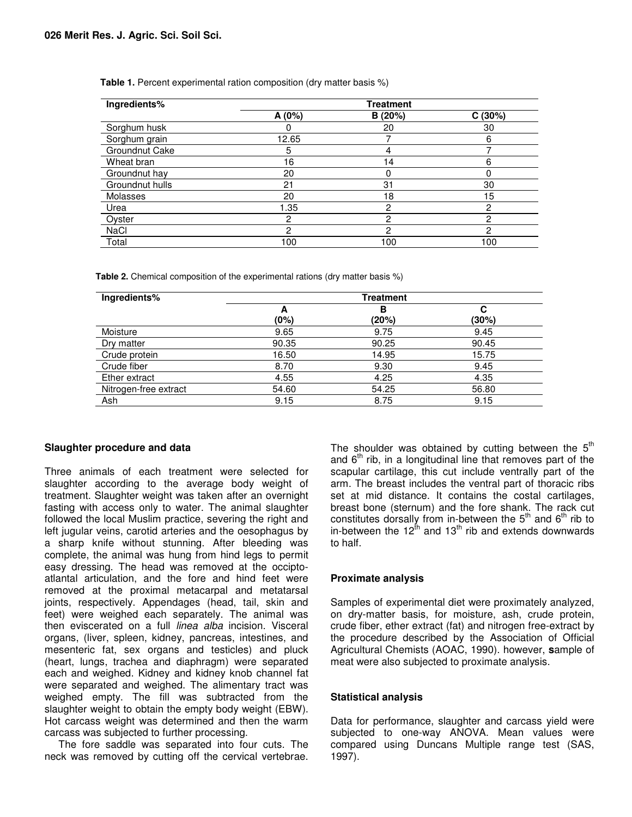| Ingredients%    | <b>Treatment</b> |         |        |  |
|-----------------|------------------|---------|--------|--|
|                 | A (0%)           | B (20%) | C(30%) |  |
| Sorghum husk    |                  | 20      | 30     |  |
| Sorghum grain   | 12.65            |         | 6      |  |
| Groundnut Cake  | 5                |         |        |  |
| Wheat bran      | 16               | 14      | 6      |  |
| Groundnut hay   | 20               |         | 0      |  |
| Groundnut hulls | 21               | 31      | 30     |  |
| Molasses        | 20               | 18      | 15     |  |
| Urea            | 1.35             | 2       | 2      |  |
| Oyster          | 2                | 2       | 2      |  |
| NaCl            | 2                | 2       | 2      |  |
| Total           | 100              | 100     | 100    |  |

**Table 1.** Percent experimental ration composition (dry matter basis %)

**Table 2.** Chemical composition of the experimental rations (dry matter basis %)

| Ingredients%          | Treatment |       |       |  |
|-----------------------|-----------|-------|-------|--|
|                       | А         | в     | С     |  |
|                       | (0%)      | (20%) | (30%) |  |
| Moisture              | 9.65      | 9.75  | 9.45  |  |
| Dry matter            | 90.35     | 90.25 | 90.45 |  |
| Crude protein         | 16.50     | 14.95 | 15.75 |  |
| Crude fiber           | 8.70      | 9.30  | 9.45  |  |
| Ether extract         | 4.55      | 4.25  | 4.35  |  |
| Nitrogen-free extract | 54.60     | 54.25 | 56.80 |  |
| Ash                   | 9.15      | 8.75  | 9.15  |  |

# **Slaughter procedure and data**

Three animals of each treatment were selected for slaughter according to the average body weight of treatment. Slaughter weight was taken after an overnight fasting with access only to water. The animal slaughter followed the local Muslim practice, severing the right and left jugular veins, carotid arteries and the oesophagus by a sharp knife without stunning. After bleeding was complete, the animal was hung from hind legs to permit easy dressing. The head was removed at the occiptoatlantal articulation, and the fore and hind feet were removed at the proximal metacarpal and metatarsal joints, respectively. Appendages (head, tail, skin and feet) were weighed each separately. The animal was then eviscerated on a full *linea alba* incision. Visceral organs, (liver, spleen, kidney, pancreas, intestines, and mesenteric fat, sex organs and testicles) and pluck (heart, lungs, trachea and diaphragm) were separated each and weighed. Kidney and kidney knob channel fat were separated and weighed. The alimentary tract was weighed empty. The fill was subtracted from the slaughter weight to obtain the empty body weight (EBW). Hot carcass weight was determined and then the warm carcass was subjected to further processing.

The fore saddle was separated into four cuts. The neck was removed by cutting off the cervical vertebrae.

The shoulder was obtained by cutting between the  $5<sup>th</sup>$ and  $6<sup>th</sup>$  rib, in a longitudinal line that removes part of the scapular cartilage, this cut include ventrally part of the arm. The breast includes the ventral part of thoracic ribs set at mid distance. It contains the costal cartilages, breast bone (sternum) and the fore shank. The rack cut constitutes dorsally from in-between the  $5<sup>th</sup>$  and  $6<sup>th</sup>$  rib to in-between the 12<sup>th</sup> and 13<sup>th</sup> rib and extends downwards to half.

# **Proximate analysis**

Samples of experimental diet were proximately analyzed, on dry-matter basis, for moisture, ash, crude protein, crude fiber, ether extract (fat) and nitrogen free-extract by the procedure described by the Association of Official Agricultural Chemists (AOAC, 1990). however, **s**ample of meat were also subjected to proximate analysis.

# **Statistical analysis**

Data for performance, slaughter and carcass yield were subjected to one-way ANOVA. Mean values were compared using Duncans Multiple range test (SAS, 1997).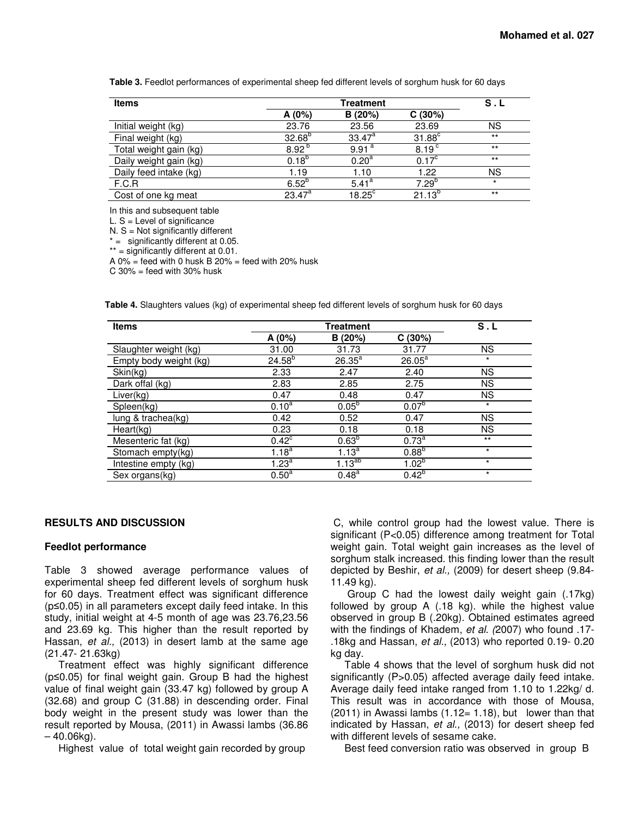**Table 3.** Feedlot performances of experimental sheep fed different levels of sorghum husk for 60 days

| <b>Items</b>           | Treatment         |                   |                      | S.L     |
|------------------------|-------------------|-------------------|----------------------|---------|
|                        | A(0%)             | B(20%)            | C(30%)               |         |
| Initial weight (kg)    | 23.76             | 23.56             | 23.69                | ΝS      |
| Final weight (kg)      | $32.68^{b}$       | $33.47^a$         | $31.88$ <sup>c</sup> | $***$   |
| Total weight gain (kg) | 8.92 <sup>b</sup> | 9.91 <sup>a</sup> | 8.19 <sup>c</sup>    | $***$   |
| Daily weight gain (kg) | $0.18^{b}$        | 0.20 <sup>a</sup> | $0.17^{\circ}$       | $***$   |
| Daily feed intake (kg) | 1.19              | 1.10              | 1.22                 | ΝS      |
| F.C.R                  | $6.52^{b}$        | $5.41^{\circ}$    | $7.29^{b}$           | $\star$ |
| Cost of one kg meat    | $23.47^a$         | $18.25^{\circ}$   | $21.13^{p}$          | $***$   |

In this and subsequent table

 $L.S = Level$  of significance

 $N. S = Not significantly different$ 

 $* =$  significantly different at 0.05.

\*\* = significantly different at 0.01.

A  $0\%$  = feed with 0 husk B  $20\%$  = feed with  $20\%$  husk

 $C$  30% = feed with 30% husk

**Table 4.** Slaughters values (kg) of experimental sheep fed different levels of sorghum husk for 60 days

| <b>Items</b>           | <b>Treatment</b>      |                   |                   | S.L       |  |
|------------------------|-----------------------|-------------------|-------------------|-----------|--|
|                        | A (0%)                | B(20%)            | C(30%)            |           |  |
| Slaughter weight (kg)  | 31.00                 | 31.73             | 31.77             | <b>NS</b> |  |
| Empty body weight (kg) | $24.58^{b}$           | $26.35^{a}$       | $26.05^a$         | $\star$   |  |
| Skin(kg)               | 2.33                  | 2.47              | 2.40              | <b>NS</b> |  |
| Dark offal (kg)        | 2.83                  | 2.85              | 2.75              | <b>NS</b> |  |
| Liver(kg)              | 0.47                  | 0.48              | 0.47              | <b>NS</b> |  |
| Spleen(kg)             | $0.10^{\overline{a}}$ | $0.05^{b}$        | 0.07 <sup>b</sup> | $^\star$  |  |
| lung & trachea(kg)     | 0.42                  | 0.52              | 0.47              | <b>NS</b> |  |
| Heart(kg)              | 0.23                  | 0.18              | 0.18              | <b>NS</b> |  |
| Mesenteric fat (kg)    | $0.42^{\circ}$        | 0.63 <sup>b</sup> | 0.73 <sup>a</sup> | $***$     |  |
| Stomach empty(kg)      | $1.18^{a}$            | $1.13^{a}$        | $0.88^{b}$        | $\star$   |  |
| Intestine empty (kg)   | 1.23 <sup>a</sup>     | $1.13^{ab}$       | $1.02^{b}$        | $\star$   |  |
| Sex organs(kg)         | $0.50^{\text{a}}$     | $0.48^{a}$        | $0.42^{b}$        | $\star$   |  |

#### **RESULTS AND DISCUSSION**

#### **Feedlot performance**

Table 3 showed average performance values of experimental sheep fed different levels of sorghum husk for 60 days. Treatment effect was significant difference (p≤0.05) in all parameters except daily feed intake. In this study, initial weight at 4-5 month of age was 23.76,23.56 and 23.69 kg. This higher than the result reported by Hassan, et al., (2013) in desert lamb at the same age (21.47- 21.63kg)

Treatment effect was highly significant difference (p≤0.05) for final weight gain. Group B had the highest value of final weight gain (33.47 kg) followed by group A (32.68) and group C (31.88) in descending order. Final body weight in the present study was lower than the result reported by Mousa, (2011) in Awassi lambs (36.86 – 40.06kg).

Highest value of total weight gain recorded by group

 C, while control group had the lowest value. There is significant (P<0.05) difference among treatment for Total weight gain. Total weight gain increases as the level of sorghum stalk increased. this finding lower than the result depicted by Beshir, et al., (2009) for desert sheep (9.84-11.49 kg).

 Group C had the lowest daily weight gain (.17kg) followed by group A (.18 kg). while the highest value observed in group B (.20kg). Obtained estimates agreed with the findings of Khadem, et al. (2007) who found .17-.18kg and Hassan, et al., (2013) who reported 0.19- 0.20 kg day.

Table 4 shows that the level of sorghum husk did not significantly (P>0.05) affected average daily feed intake. Average daily feed intake ranged from 1.10 to 1.22kg/ d. This result was in accordance with those of Mousa,  $(2011)$  in Awassi lambs  $(1.12= 1.18)$ , but lower than that indicated by Hassan, et al., (2013) for desert sheep fed with different levels of sesame cake.

Best feed conversion ratio was observed in group B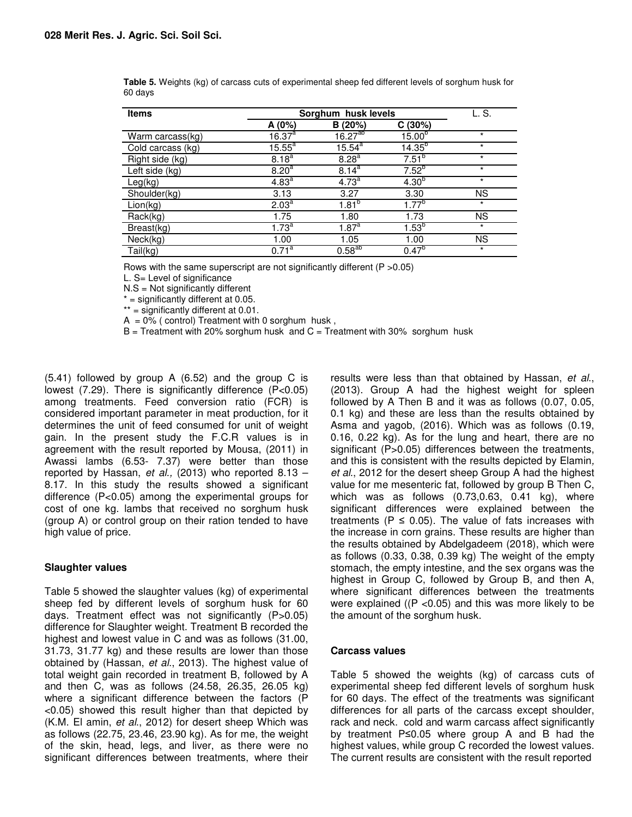| <b>Items</b>           | Sorghum husk levels   |                       |             | L. S.     |
|------------------------|-----------------------|-----------------------|-------------|-----------|
|                        | A $(0%)$              | B(20%)                | C(30%)      |           |
| Warm carcass(kg)       | $16.37^{a}$           | $16.27^{ab}$          | $15.00^{b}$ | $\star$   |
| Cold carcass (kg)      | $15.55^a$             | $15.54^a$             | $14.35^{b}$ | $^\star$  |
| Right side (kg)        | $8.18^{a}$            | 8.28 <sup>a</sup>     | $7.51^{b}$  | $\star$   |
| Left side (kg)         | $8.20^{a}$            | $8.14^{\overline{a}}$ | $7.52^{b}$  | $\star$   |
| Leg(kg)                | 4.83 <sup>a</sup>     | 4.73 <sup>a</sup>     | $4.30^{b}$  | $\star$   |
| Shoulder(kg)           | 3.13                  | 3.27                  | 3.30        | <b>NS</b> |
| Lion(kg)               | 2.03 <sup>a</sup>     | $1.81^{b}$            | $1.77^{b}$  | $^\star$  |
| Rack(kg)               | 1.75                  | 1.80                  | 1.73        | <b>NS</b> |
| Breast(kg)             | $1.73^a$              | $1.87^a$              | $1.53^{5}$  | $\star$   |
| Neck(kg)               | 1.00                  | 1.05                  | 1.00        | <b>NS</b> |
| $\overline{T}$ ail(kg) | $0.71^{\overline{a}}$ | $0.58^{ab}$           | $0.47^{b}$  | $\star$   |

**Table 5.** Weights (kg) of carcass cuts of experimental sheep fed different levels of sorghum husk for 60 days

Rows with the same superscript are not significantly different (P >0.05)

L. S= Level of significance

N.S = Not significantly different

 $*$  = significantly different at 0.05.

\*\* = significantly different at 0.01.

 $A = 0\%$  (control) Treatment with 0 sorghum husk,

 $B = T$  reatment with 20% sorghum husk and  $C = T$  reatment with 30% sorghum husk

(5.41) followed by group A (6.52) and the group C is lowest (7.29). There is significantly difference (P<0.05) among treatments. Feed conversion ratio (FCR) is considered important parameter in meat production, for it determines the unit of feed consumed for unit of weight gain. In the present study the F.C.R values is in agreement with the result reported by Mousa, (2011) in Awassi lambs (6.53- 7.37) were better than those reported by Hassan, et al., (2013) who reported  $8.13 -$ 8.17. In this study the results showed a significant difference (P<0.05) among the experimental groups for cost of one kg. lambs that received no sorghum husk (group A) or control group on their ration tended to have high value of price.

#### **Slaughter values**

Table 5 showed the slaughter values (kg) of experimental sheep fed by different levels of sorghum husk for 60 days. Treatment effect was not significantly (P>0.05) difference for Slaughter weight. Treatment B recorded the highest and lowest value in C and was as follows (31.00, 31.73, 31.77 kg) and these results are lower than those obtained by (Hassan, et al., 2013). The highest value of total weight gain recorded in treatment B, followed by A and then C, was as follows (24.58, 26.35, 26.05 kg) where a significant difference between the factors (P <0.05) showed this result higher than that depicted by (K.M. El amin, et al., 2012) for desert sheep Which was as follows (22.75, 23.46, 23.90 kg). As for me, the weight of the skin, head, legs, and liver, as there were no significant differences between treatments, where their

results were less than that obtained by Hassan, et al., (2013). Group A had the highest weight for spleen followed by A Then B and it was as follows (0.07, 0.05, 0.1 kg) and these are less than the results obtained by Asma and yagob, (2016). Which was as follows (0.19, 0.16, 0.22 kg). As for the lung and heart, there are no significant (P>0.05) differences between the treatments, and this is consistent with the results depicted by Elamin, et al., 2012 for the desert sheep Group A had the highest value for me mesenteric fat, followed by group B Then C, which was as follows (0.73,0.63, 0.41 kg), where significant differences were explained between the treatments ( $P \le 0.05$ ). The value of fats increases with the increase in corn grains. These results are higher than the results obtained by Abdelgadeem (2018), which were as follows (0.33, 0.38, 0.39 kg) The weight of the empty stomach, the empty intestine, and the sex organs was the highest in Group C, followed by Group B, and then A, where significant differences between the treatments were explained ( $(P < 0.05)$  and this was more likely to be the amount of the sorghum husk.

#### **Carcass values**

Table 5 showed the weights (kg) of carcass cuts of experimental sheep fed different levels of sorghum husk for 60 days. The effect of the treatments was significant differences for all parts of the carcass except shoulder, rack and neck. cold and warm carcass affect significantly by treatment P≤0.05 where group A and B had the highest values, while group C recorded the lowest values. The current results are consistent with the result reported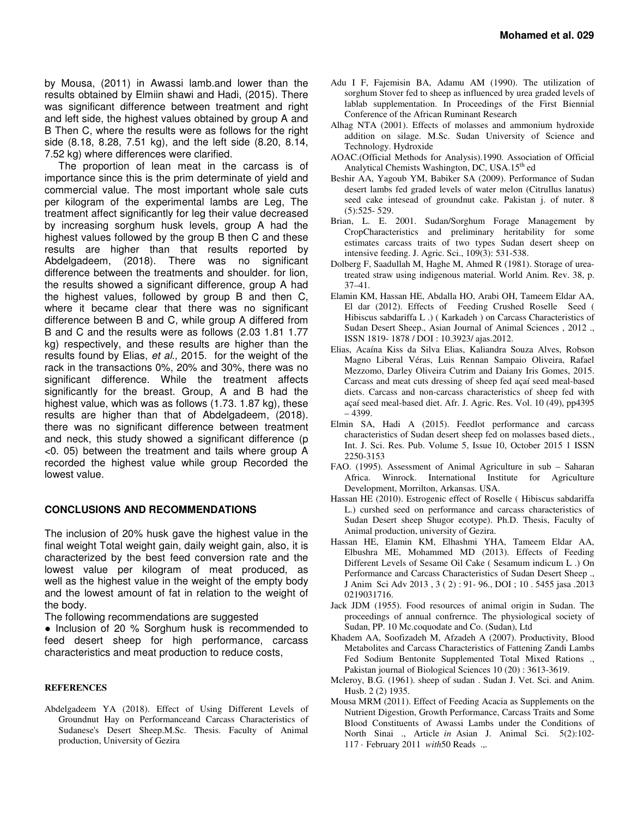by Mousa, (2011) in Awassi lamb.and lower than the results obtained by Elmiin shawi and Hadi, (2015). There was significant difference between treatment and right and left side, the highest values obtained by group A and B Then C, where the results were as follows for the right side (8.18, 8.28, 7.51 kg), and the left side (8.20, 8.14, 7.52 kg) where differences were clarified.

The proportion of lean meat in the carcass is of importance since this is the prim determinate of yield and commercial value. The most important whole sale cuts per kilogram of the experimental lambs are Leg, The treatment affect significantly for leg their value decreased by increasing sorghum husk levels, group A had the highest values followed by the group B then C and these results are higher than that results reported by Abdelgadeem, (2018). There was no significant difference between the treatments and shoulder. for lion, the results showed a significant difference, group A had the highest values, followed by group B and then C, where it became clear that there was no significant difference between B and C, while group A differed from B and C and the results were as follows (2.03 1.81 1.77 kg) respectively, and these results are higher than the results found by Elias, et al., 2015. for the weight of the rack in the transactions 0%, 20% and 30%, there was no significant difference. While the treatment affects significantly for the breast. Group, A and B had the highest value, which was as follows (1.73. 1.87 kg), these results are higher than that of Abdelgadeem, (2018). there was no significant difference between treatment and neck, this study showed a significant difference (p <0. 05) between the treatment and tails where group A recorded the highest value while group Recorded the lowest value.

## **CONCLUSIONS AND RECOMMENDATIONS**

The inclusion of 20% husk gave the highest value in the final weight Total weight gain, daily weight gain, also, it is characterized by the best feed conversion rate and the lowest value per kilogram of meat produced, as well as the highest value in the weight of the empty body and the lowest amount of fat in relation to the weight of the body.

The following recommendations are suggested

• Inclusion of 20 % Sorghum husk is recommended to feed desert sheep for high performance, carcass characteristics and meat production to reduce costs,

#### **REFERENCES**

Abdelgadeem YA (2018). Effect of Using Different Levels of Groundnut Hay on Performanceand Carcass Characteristics of Sudanese's Desert Sheep.M.Sc. Thesis. Faculty of Animal production, University of Gezira

- Adu I F, Fajemisin BA, Adamu AM (1990). The utilization of sorghum Stover fed to sheep as influenced by urea graded levels of lablab supplementation. In Proceedings of the First Biennial Conference of the African Ruminant Research
- Alhag NTA (2001). Effects of molasses and ammonium hydroxide addition on silage. M.Sc. Sudan University of Science and Technology. Hydroxide
- AOAC.(Official Methods for Analysis).1990. Association of Official Analytical Chemists Washington, DC, USA.15<sup>th</sup> ed
- Beshir AA, Yagoub YM, Babiker SA (2009). Performance of Sudan desert lambs fed graded levels of water melon (Citrullus lanatus) seed cake intesead of groundnut cake. Pakistan j. of nuter. 8 (5):525- 529.
- Brian, L. E. 2001. Sudan/Sorghum Forage Management by CropCharacteristics and preliminary heritability for some estimates carcass traits of two types Sudan desert sheep on intensive feeding. J. Agric. Sci., 109(3): 531-538.
- Dolberg F, Saadullah M, Haghe M, Ahmed R (1981). Storage of ureatreated straw using indigenous material. World Anim. Rev. 38, p. 37–41.
- Elamin KM, Hassan HE, Abdalla HO, Arabi OH, Tameem Eldar AA, El dar (2012). Effects of Feeding Crushed Roselle Seed ( Hibiscus sabdariffa L .) ( Karkadeh ) on Carcass Characteristics of Sudan Desert Sheep., Asian Journal of Animal Sciences , 2012 ., ISSN 1819- 1878 / DOI : 10.3923/ ajas.2012.
- Elias, Acaína Kiss da Silva Elias, Kaliandra Souza Alves, Robson Magno Liberal Véras, Luis Rennan Sampaio Oliveira, Rafael Mezzomo, Darley Oliveira Cutrim and Daiany Iris Gomes, 2015. Carcass and meat cuts dressing of sheep fed açaí seed meal-based diets. Carcass and non-carcass characteristics of sheep fed with açaí seed meal-based diet. Afr. J. Agric. Res. Vol. 10 (49), pp4395 – 4399.
- Elmin SA, Hadi A (2015). Feedlot performance and carcass characteristics of Sudan desert sheep fed on molasses based diets., Int. J. Sci. Res. Pub. Volume 5, Issue 10, October 2015 1 ISSN 2250-3153
- FAO. (1995). Assessment of Animal Agriculture in sub Saharan Africa. Winrock. International Institute for Agriculture Development, Morrilton, Arkansas. USA.
- Hassan HE (2010). Estrogenic effect of Roselle ( Hibiscus sabdariffa L.) curshed seed on performance and carcass characteristics of Sudan Desert sheep Shugor ecotype). Ph.D. Thesis, Faculty of Animal production, university of Gezira.
- Hassan HE, Elamin KM, Elhashmi YHA, Tameem Eldar AA, Elbushra ME, Mohammed MD (2013). Effects of Feeding Different Levels of Sesame Oil Cake ( Sesamum indicum L .) On Performance and Carcass Characteristics of Sudan Desert Sheep ., J Anim Sci Adv 2013 , 3 ( 2) : 91- 96., DOI ; 10 . 5455 jasa .2013 0219031716.
- Jack JDM (1955). Food resources of animal origin in Sudan. The proceedings of annual confrernce. The physiological society of Sudan, PP. 10 Mc.coquodate and Co. (Sudan), Ltd
- Khadem AA, Soofizadeh M, Afzadeh A (2007). Productivity, Blood Metabolites and Carcass Characteristics of Fattening Zandi Lambs Fed Sodium Bentonite Supplemented Total Mixed Rations ., Pakistan journal of Biological Sciences 10 (20) : 3613-3619.
- Mcleroy, B.G. (1961). sheep of sudan . Sudan J. Vet. Sci. and Anim. Husb. 2 (2) 1935.
- Mousa MRM (2011). Effect of Feeding Acacia as Supplements on the Nutrient Digestion, Growth Performance, Carcass Traits and Some Blood Constituents of Awassi Lambs under the Conditions of North Sinai ., Article *in* Asian J. Animal Sci. 5(2):102- 117 · February 2011 *with*50 Reads .,.